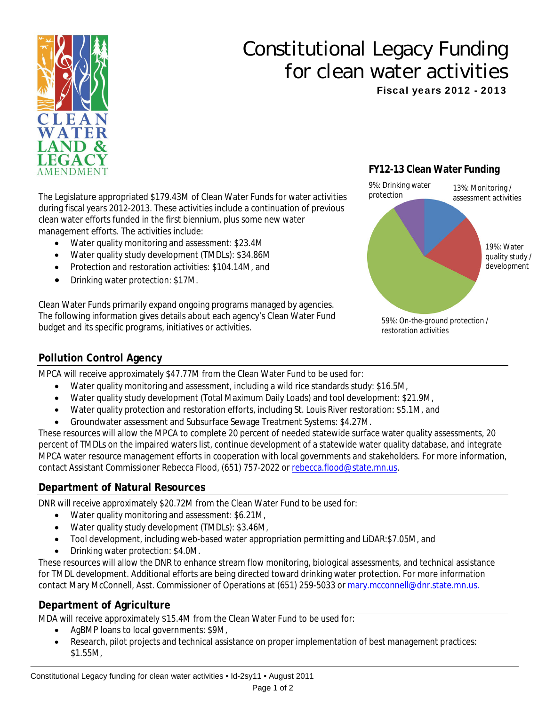

# Constitutional Legacy Funding for clean water activities Fiscal years 2012 - 2013

The Legislature appropriated \$179.43M of Clean Water Funds for water activities during fiscal years 2012-2013. These activities include a continuation of previous clean water efforts funded in the first biennium, plus some new water management efforts. The activities include:

- Water quality monitoring and assessment: \$23.4M
- Water quality study development (TMDLs): \$34.86M
- • Protection and restoration activities: \$104.14M, and
- Drinking water protection: \$17M.

Clean Water Funds primarily expand ongoing programs managed by agencies. The following information gives details about each agency's Clean Water Fund budget and its specific programs, initiatives or activities.

## **FY12-13 Clean Water Funding**



## **Pollution Control Agency**

MPCA will receive approximately \$47.77M from the Clean Water Fund to be used for:

- Water quality monitoring and assessment, including a wild rice standards study: \$16.5M,
- Water quality study development (Total Maximum Daily Loads) and tool development: \$21.9M,
- Water quality protection and restoration efforts, including St. Louis River restoration: \$5.1M, and
- Groundwater assessment and Subsurface Sewage Treatment Systems: \$4.27M.

These resources will allow the MPCA to complete 20 percent of needed statewide surface water quality assessments, 20 percent of TMDLs on the impaired waters list, continue development of a statewide water quality database, and integrate MPCA water resource management efforts in cooperation with local governments and stakeholders. For more information, contact Assistant Commissioner Rebecca Flood, (651) 757-2022 or rebecca.flood@state.mn.us.

## **Department of Natural Resources**

DNR will receive approximately \$20.72M from the Clean Water Fund to be used for:

- Water quality monitoring and assessment: \$6.21M,
- Water quality study development (TMDLs): \$3.46M,
- Tool development, including web-based water appropriation permitting and LiDAR: \$7.05M, and
- Drinking water protection: \$4.0M.

These resources will allow the DNR to enhance stream flow monitoring, biological assessments, and technical assistance for TMDL development. Additional efforts are being directed toward drinking water protection. For more information contact Mary McConnell, Asst. Commissioner of Operations at (651) 259-5033 or mary.mcconnell@dnr.state.mn.us.

## **Department of Agriculture**

MDA will receive approximately \$15.4M from the Clean Water Fund to be used for:

- AgBMP loans to local governments: \$9M,
- • Research, pilot projects and technical assistance on proper implementation of best management practices: \$1.55M,